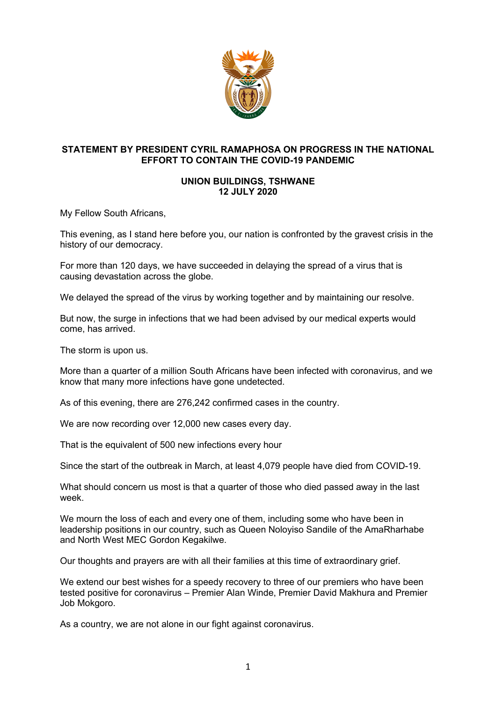

## **STATEMENT BY PRESIDENT CYRIL RAMAPHOSA ON PROGRESS IN THE NATIONAL EFFORT TO CONTAIN THE COVID-19 PANDEMIC**

## **UNION BUILDINGS, TSHWANE 12 JULY 2020**

My Fellow South Africans,

This evening, as I stand here before you, our nation is confronted by the gravest crisis in the history of our democracy.

For more than 120 days, we have succeeded in delaying the spread of a virus that is causing devastation across the globe.

We delayed the spread of the virus by working together and by maintaining our resolve.

But now, the surge in infections that we had been advised by our medical experts would come, has arrived.

The storm is upon us.

More than a quarter of a million South Africans have been infected with coronavirus, and we know that many more infections have gone undetected.

As of this evening, there are 276,242 confirmed cases in the country.

We are now recording over 12,000 new cases every day.

That is the equivalent of 500 new infections every hour

Since the start of the outbreak in March, at least 4,079 people have died from COVID-19.

What should concern us most is that a quarter of those who died passed away in the last week.

We mourn the loss of each and every one of them, including some who have been in leadership positions in our country, such as Queen Noloyiso Sandile of the AmaRharhabe and North West MEC Gordon Kegakilwe.

Our thoughts and prayers are with all their families at this time of extraordinary grief.

We extend our best wishes for a speedy recovery to three of our premiers who have been tested positive for coronavirus – Premier Alan Winde, Premier David Makhura and Premier Job Mokgoro.

As a country, we are not alone in our fight against coronavirus.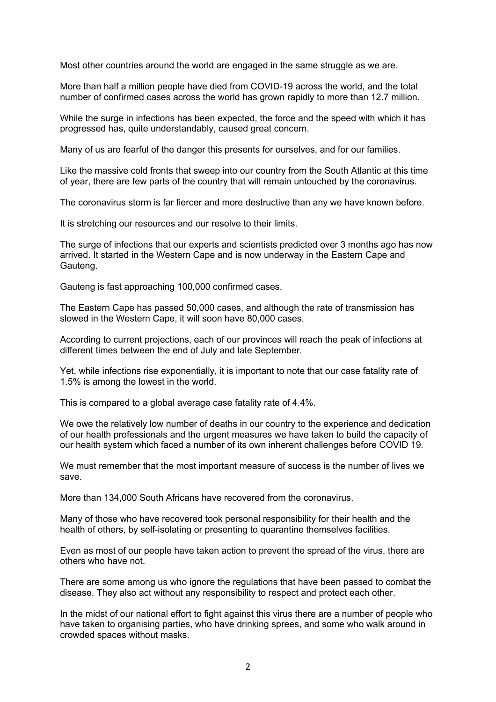Most other countries around the world are engaged in the same struggle as we are.

More than half a million people have died from COVID-19 across the world, and the total number of confirmed cases across the world has grown rapidly to more than 12.7 million.

While the surge in infections has been expected, the force and the speed with which it has progressed has, quite understandably, caused great concern.

Many of us are fearful of the danger this presents for ourselves, and for our families.

Like the massive cold fronts that sweep into our country from the South Atlantic at this time of year, there are few parts of the country that will remain untouched by the coronavirus.

The coronavirus storm is far fiercer and more destructive than any we have known before.

It is stretching our resources and our resolve to their limits.

The surge of infections that our experts and scientists predicted over 3 months ago has now arrived. It started in the Western Cape and is now underway in the Eastern Cape and Gauteng.

Gauteng is fast approaching 100,000 confirmed cases.

The Eastern Cape has passed 50,000 cases, and although the rate of transmission has slowed in the Western Cape, it will soon have 80,000 cases.

According to current projections, each of our provinces will reach the peak of infections at different times between the end of July and late September.

Yet, while infections rise exponentially, it is important to note that our case fatality rate of 1.5% is among the lowest in the world.

This is compared to a global average case fatality rate of 4.4%.

We owe the relatively low number of deaths in our country to the experience and dedication of our health professionals and the urgent measures we have taken to build the capacity of our health system which faced a number of its own inherent challenges before COVID 19.

We must remember that the most important measure of success is the number of lives we save.

More than 134,000 South Africans have recovered from the coronavirus.

Many of those who have recovered took personal responsibility for their health and the health of others, by self-isolating or presenting to quarantine themselves facilities.

Even as most of our people have taken action to prevent the spread of the virus, there are others who have not.

There are some among us who ignore the regulations that have been passed to combat the disease. They also act without any responsibility to respect and protect each other.

In the midst of our national effort to fight against this virus there are a number of people who have taken to organising parties, who have drinking sprees, and some who walk around in crowded spaces without masks.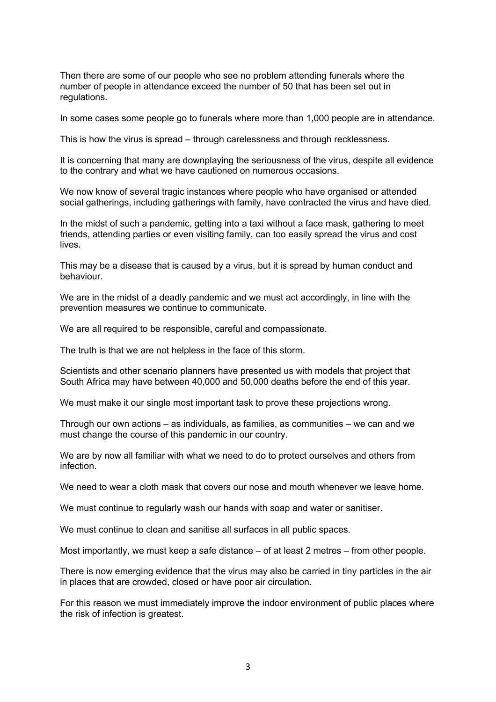Then there are some of our people who see no problem attending funerals where the number of people in attendance exceed the number of 50 that has been set out in regulations.

In some cases some people go to funerals where more than 1,000 people are in attendance.

This is how the virus is spread – through carelessness and through recklessness.

It is concerning that many are downplaying the seriousness of the virus, despite all evidence to the contrary and what we have cautioned on numerous occasions.

We now know of several tragic instances where people who have organised or attended social gatherings, including gatherings with family, have contracted the virus and have died.

In the midst of such a pandemic, getting into a taxi without a face mask, gathering to meet friends, attending parties or even visiting family, can too easily spread the virus and cost lives.

This may be a disease that is caused by a virus, but it is spread by human conduct and behaviour.

We are in the midst of a deadly pandemic and we must act accordingly, in line with the prevention measures we continue to communicate.

We are all required to be responsible, careful and compassionate.

The truth is that we are not helpless in the face of this storm.

Scientists and other scenario planners have presented us with models that project that South Africa may have between 40,000 and 50,000 deaths before the end of this year.

We must make it our single most important task to prove these projections wrong.

Through our own actions – as individuals, as families, as communities – we can and we must change the course of this pandemic in our country.

We are by now all familiar with what we need to do to protect ourselves and others from infection.

We need to wear a cloth mask that covers our nose and mouth whenever we leave home.

We must continue to regularly wash our hands with soap and water or sanitiser.

We must continue to clean and sanitise all surfaces in all public spaces.

Most importantly, we must keep a safe distance – of at least 2 metres – from other people.

There is now emerging evidence that the virus may also be carried in tiny particles in the air in places that are crowded, closed or have poor air circulation.

For this reason we must immediately improve the indoor environment of public places where the risk of infection is greatest.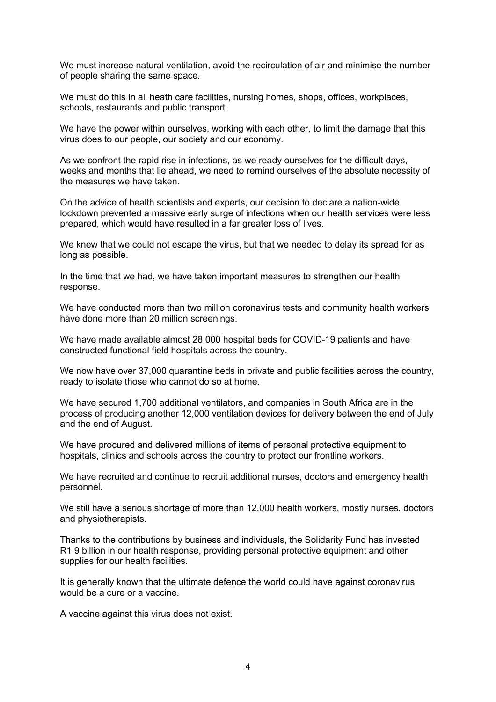We must increase natural ventilation, avoid the recirculation of air and minimise the number of people sharing the same space.

We must do this in all heath care facilities, nursing homes, shops, offices, workplaces, schools, restaurants and public transport.

We have the power within ourselves, working with each other, to limit the damage that this virus does to our people, our society and our economy.

As we confront the rapid rise in infections, as we ready ourselves for the difficult days, weeks and months that lie ahead, we need to remind ourselves of the absolute necessity of the measures we have taken.

On the advice of health scientists and experts, our decision to declare a nation-wide lockdown prevented a massive early surge of infections when our health services were less prepared, which would have resulted in a far greater loss of lives.

We knew that we could not escape the virus, but that we needed to delay its spread for as long as possible.

In the time that we had, we have taken important measures to strengthen our health response.

We have conducted more than two million coronavirus tests and community health workers have done more than 20 million screenings.

We have made available almost 28,000 hospital beds for COVID-19 patients and have constructed functional field hospitals across the country.

We now have over 37,000 quarantine beds in private and public facilities across the country, ready to isolate those who cannot do so at home.

We have secured 1,700 additional ventilators, and companies in South Africa are in the process of producing another 12,000 ventilation devices for delivery between the end of July and the end of August.

We have procured and delivered millions of items of personal protective equipment to hospitals, clinics and schools across the country to protect our frontline workers.

We have recruited and continue to recruit additional nurses, doctors and emergency health personnel.

We still have a serious shortage of more than 12,000 health workers, mostly nurses, doctors and physiotherapists.

Thanks to the contributions by business and individuals, the Solidarity Fund has invested R1.9 billion in our health response, providing personal protective equipment and other supplies for our health facilities.

It is generally known that the ultimate defence the world could have against coronavirus would be a cure or a vaccine.

A vaccine against this virus does not exist.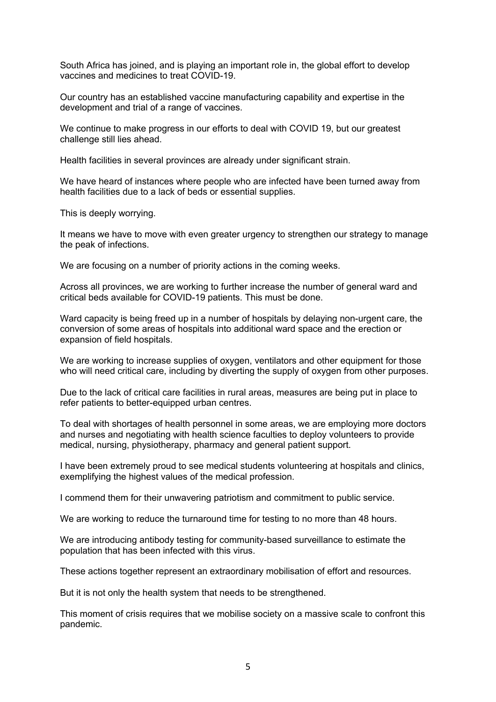South Africa has joined, and is playing an important role in, the global effort to develop vaccines and medicines to treat COVID-19.

Our country has an established vaccine manufacturing capability and expertise in the development and trial of a range of vaccines.

We continue to make progress in our efforts to deal with COVID 19, but our greatest challenge still lies ahead.

Health facilities in several provinces are already under significant strain.

We have heard of instances where people who are infected have been turned away from health facilities due to a lack of beds or essential supplies.

This is deeply worrying.

It means we have to move with even greater urgency to strengthen our strategy to manage the peak of infections.

We are focusing on a number of priority actions in the coming weeks.

Across all provinces, we are working to further increase the number of general ward and critical beds available for COVID-19 patients. This must be done.

Ward capacity is being freed up in a number of hospitals by delaying non-urgent care, the conversion of some areas of hospitals into additional ward space and the erection or expansion of field hospitals.

We are working to increase supplies of oxygen, ventilators and other equipment for those who will need critical care, including by diverting the supply of oxygen from other purposes.

Due to the lack of critical care facilities in rural areas, measures are being put in place to refer patients to better-equipped urban centres.

To deal with shortages of health personnel in some areas, we are employing more doctors and nurses and negotiating with health science faculties to deploy volunteers to provide medical, nursing, physiotherapy, pharmacy and general patient support.

I have been extremely proud to see medical students volunteering at hospitals and clinics, exemplifying the highest values of the medical profession.

I commend them for their unwavering patriotism and commitment to public service.

We are working to reduce the turnaround time for testing to no more than 48 hours.

We are introducing antibody testing for community-based surveillance to estimate the population that has been infected with this virus.

These actions together represent an extraordinary mobilisation of effort and resources.

But it is not only the health system that needs to be strengthened.

This moment of crisis requires that we mobilise society on a massive scale to confront this pandemic.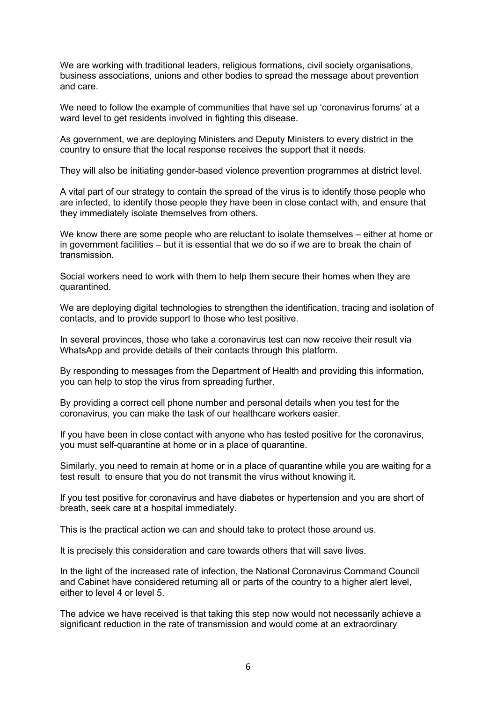We are working with traditional leaders, religious formations, civil society organisations, business associations, unions and other bodies to spread the message about prevention and care.

We need to follow the example of communities that have set up 'coronavirus forums' at a ward level to get residents involved in fighting this disease.

As government, we are deploying Ministers and Deputy Ministers to every district in the country to ensure that the local response receives the support that it needs.

They will also be initiating gender-based violence prevention programmes at district level.

A vital part of our strategy to contain the spread of the virus is to identify those people who are infected, to identify those people they have been in close contact with, and ensure that they immediately isolate themselves from others.

We know there are some people who are reluctant to isolate themselves – either at home or in government facilities – but it is essential that we do so if we are to break the chain of transmission.

Social workers need to work with them to help them secure their homes when they are quarantined.

We are deploying digital technologies to strengthen the identification, tracing and isolation of contacts, and to provide support to those who test positive.

In several provinces, those who take a coronavirus test can now receive their result via WhatsApp and provide details of their contacts through this platform.

By responding to messages from the Department of Health and providing this information, you can help to stop the virus from spreading further.

By providing a correct cell phone number and personal details when you test for the coronavirus, you can make the task of our healthcare workers easier.

If you have been in close contact with anyone who has tested positive for the coronavirus, you must self-quarantine at home or in a place of quarantine.

Similarly, you need to remain at home or in a place of quarantine while you are waiting for a test result to ensure that you do not transmit the virus without knowing it.

If you test positive for coronavirus and have diabetes or hypertension and you are short of breath, seek care at a hospital immediately.

This is the practical action we can and should take to protect those around us.

It is precisely this consideration and care towards others that will save lives.

In the light of the increased rate of infection, the National Coronavirus Command Council and Cabinet have considered returning all or parts of the country to a higher alert level, either to level 4 or level 5.

The advice we have received is that taking this step now would not necessarily achieve a significant reduction in the rate of transmission and would come at an extraordinary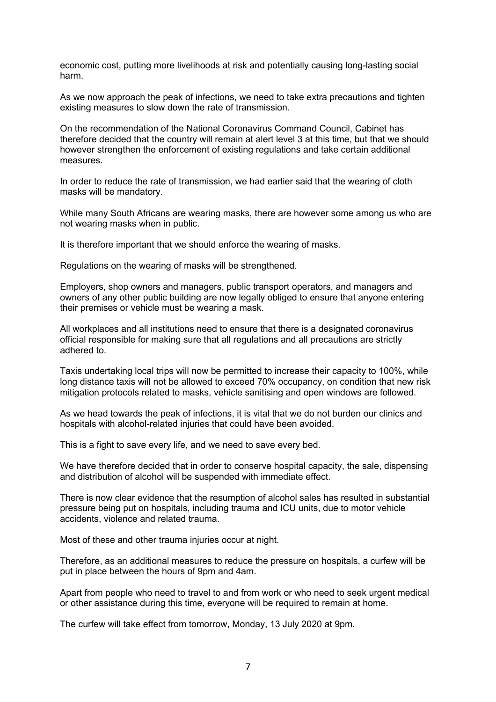economic cost, putting more livelihoods at risk and potentially causing long-lasting social harm.

As we now approach the peak of infections, we need to take extra precautions and tighten existing measures to slow down the rate of transmission.

On the recommendation of the National Coronavirus Command Council, Cabinet has therefore decided that the country will remain at alert level 3 at this time, but that we should however strengthen the enforcement of existing regulations and take certain additional measures.

In order to reduce the rate of transmission, we had earlier said that the wearing of cloth masks will be mandatory.

While many South Africans are wearing masks, there are however some among us who are not wearing masks when in public.

It is therefore important that we should enforce the wearing of masks.

Regulations on the wearing of masks will be strengthened.

Employers, shop owners and managers, public transport operators, and managers and owners of any other public building are now legally obliged to ensure that anyone entering their premises or vehicle must be wearing a mask.

All workplaces and all institutions need to ensure that there is a designated coronavirus official responsible for making sure that all regulations and all precautions are strictly adhered to.

Taxis undertaking local trips will now be permitted to increase their capacity to 100%, while long distance taxis will not be allowed to exceed 70% occupancy, on condition that new risk mitigation protocols related to masks, vehicle sanitising and open windows are followed.

As we head towards the peak of infections, it is vital that we do not burden our clinics and hospitals with alcohol-related injuries that could have been avoided.

This is a fight to save every life, and we need to save every bed.

We have therefore decided that in order to conserve hospital capacity, the sale, dispensing and distribution of alcohol will be suspended with immediate effect.

There is now clear evidence that the resumption of alcohol sales has resulted in substantial pressure being put on hospitals, including trauma and ICU units, due to motor vehicle accidents, violence and related trauma.

Most of these and other trauma injuries occur at night.

Therefore, as an additional measures to reduce the pressure on hospitals, a curfew will be put in place between the hours of 9pm and 4am.

Apart from people who need to travel to and from work or who need to seek urgent medical or other assistance during this time, everyone will be required to remain at home.

The curfew will take effect from tomorrow, Monday, 13 July 2020 at 9pm.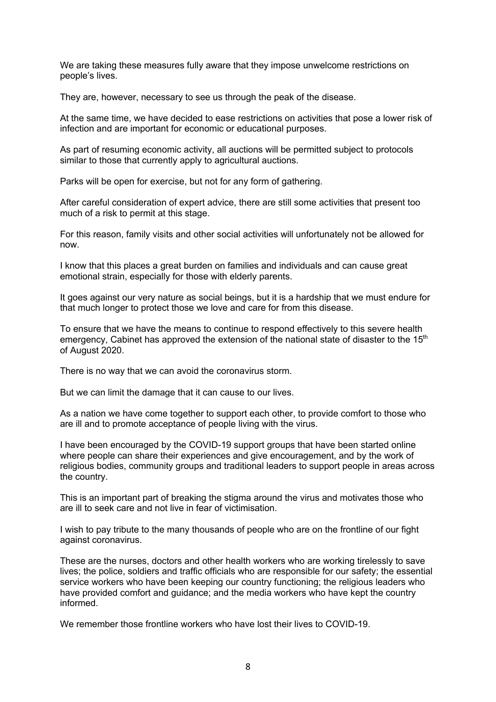We are taking these measures fully aware that they impose unwelcome restrictions on people's lives.

They are, however, necessary to see us through the peak of the disease.

At the same time, we have decided to ease restrictions on activities that pose a lower risk of infection and are important for economic or educational purposes.

As part of resuming economic activity, all auctions will be permitted subject to protocols similar to those that currently apply to agricultural auctions.

Parks will be open for exercise, but not for any form of gathering.

After careful consideration of expert advice, there are still some activities that present too much of a risk to permit at this stage.

For this reason, family visits and other social activities will unfortunately not be allowed for now.

I know that this places a great burden on families and individuals and can cause great emotional strain, especially for those with elderly parents.

It goes against our very nature as social beings, but it is a hardship that we must endure for that much longer to protect those we love and care for from this disease.

To ensure that we have the means to continue to respond effectively to this severe health emergency, Cabinet has approved the extension of the national state of disaster to the 15<sup>th</sup> of August 2020.

There is no way that we can avoid the coronavirus storm.

But we can limit the damage that it can cause to our lives.

As a nation we have come together to support each other, to provide comfort to those who are ill and to promote acceptance of people living with the virus.

I have been encouraged by the COVID-19 support groups that have been started online where people can share their experiences and give encouragement, and by the work of religious bodies, community groups and traditional leaders to support people in areas across the country.

This is an important part of breaking the stigma around the virus and motivates those who are ill to seek care and not live in fear of victimisation.

I wish to pay tribute to the many thousands of people who are on the frontline of our fight against coronavirus.

These are the nurses, doctors and other health workers who are working tirelessly to save lives; the police, soldiers and traffic officials who are responsible for our safety; the essential service workers who have been keeping our country functioning; the religious leaders who have provided comfort and guidance; and the media workers who have kept the country informed.

We remember those frontline workers who have lost their lives to COVID-19.